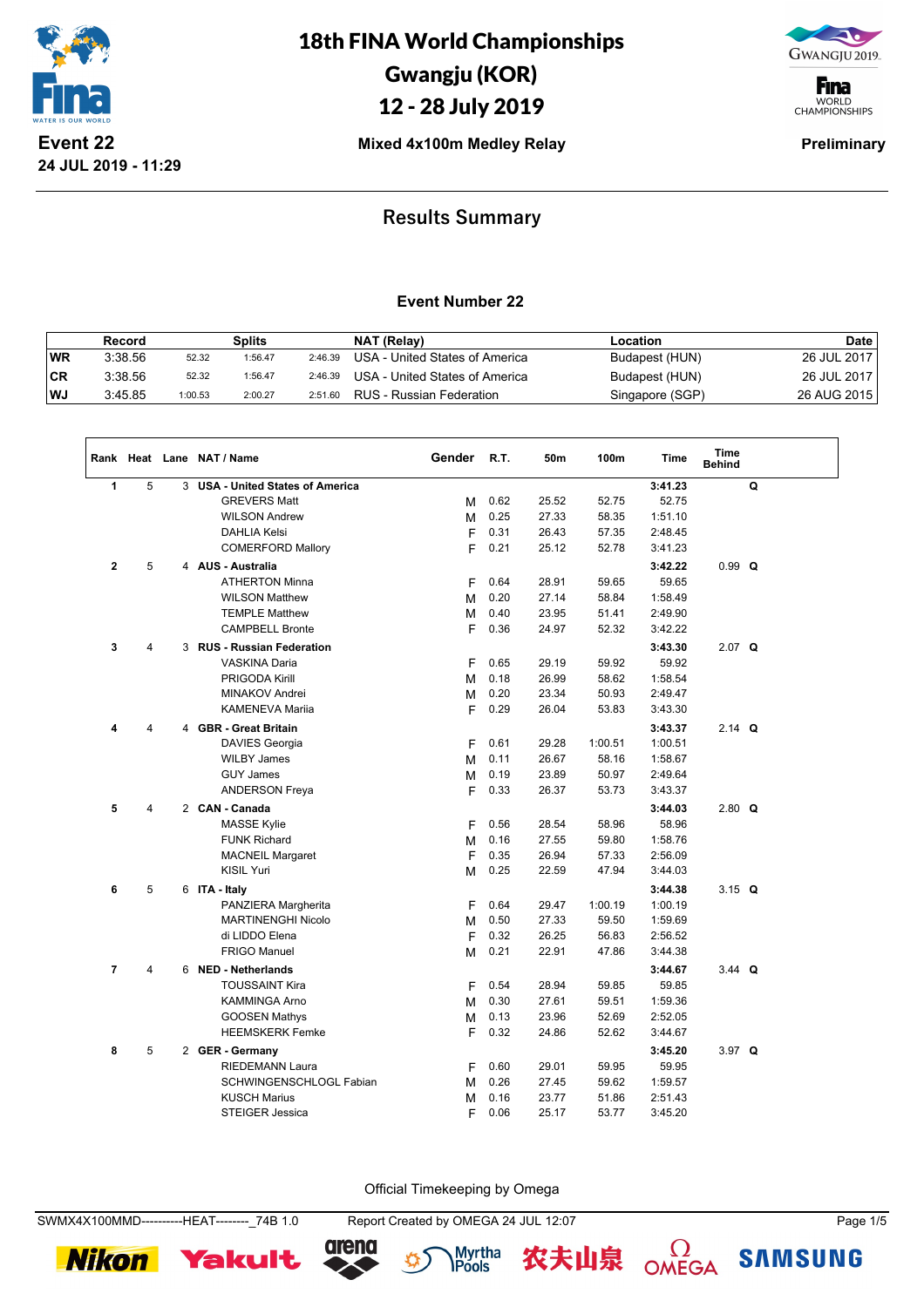

18th FINA World Championships Gwangju (KOR)

12 - 28 July 2019

GWANGJU 2019.

**F**ina WORLD<br>CHAMPIONSHIPS

**Mixed 4x100m Medley Relay Preliminary** 

## **Results Summary**

### **Event Number 22**

|     | Record  |         | Splits  |         | NAT (Relay)                    | Location        | <b>Date</b> |
|-----|---------|---------|---------|---------|--------------------------------|-----------------|-------------|
| WR  | 3:38.56 | 52.32   | 1:56.47 | 2:46.39 | USA - United States of America | Budapest (HUN)  | 26 JUL 2017 |
| ∣CR | 3:38.56 | 52.32   | 1:56.47 | 2:46.39 | USA - United States of America | Budapest (HUN)  | 26 JUL 2017 |
| WJ  | 3:45.85 | 1:00.53 | 2:00.27 | 2:51.60 | RUS - Russian Federation       | Singapore (SGP) | 26 AUG 2015 |

|                |                |   | Rank Heat Lane NAT / Name             | Gender | R.T. | 50m   | 100m    | Time    | <b>Time</b><br><b>Behind</b> |   |  |
|----------------|----------------|---|---------------------------------------|--------|------|-------|---------|---------|------------------------------|---|--|
| 1              | $\overline{5}$ | 3 | <b>USA - United States of America</b> |        |      |       |         | 3:41.23 |                              | Q |  |
|                |                |   | <b>GREVERS Matt</b>                   | M      | 0.62 | 25.52 | 52.75   | 52.75   |                              |   |  |
|                |                |   | <b>WILSON Andrew</b>                  | М      | 0.25 | 27.33 | 58.35   | 1:51.10 |                              |   |  |
|                |                |   | <b>DAHLIA Kelsi</b>                   | F      | 0.31 | 26.43 | 57.35   | 2:48.45 |                              |   |  |
|                |                |   | <b>COMERFORD Mallory</b>              | F      | 0.21 | 25.12 | 52.78   | 3:41.23 |                              |   |  |
| $\mathbf{2}$   | 5              |   | 4 AUS - Australia                     |        |      |       |         | 3:42.22 | $0.99$ Q                     |   |  |
|                |                |   | <b>ATHERTON Minna</b>                 | F      | 0.64 | 28.91 | 59.65   | 59.65   |                              |   |  |
|                |                |   | <b>WILSON Matthew</b>                 | M      | 0.20 | 27.14 | 58.84   | 1:58.49 |                              |   |  |
|                |                |   | <b>TEMPLE Matthew</b>                 | М      | 0.40 | 23.95 | 51.41   | 2:49.90 |                              |   |  |
|                |                |   | <b>CAMPBELL Bronte</b>                | F      | 0.36 | 24.97 | 52.32   | 3:42.22 |                              |   |  |
| 3              | 4              |   | 3 RUS - Russian Federation            |        |      |       |         | 3:43.30 | $2.07$ Q                     |   |  |
|                |                |   | <b>VASKINA Daria</b>                  | F      | 0.65 | 29.19 | 59.92   | 59.92   |                              |   |  |
|                |                |   | <b>PRIGODA Kirill</b>                 | M      | 0.18 | 26.99 | 58.62   | 1:58.54 |                              |   |  |
|                |                |   | <b>MINAKOV Andrei</b>                 | M      | 0.20 | 23.34 | 50.93   | 2:49.47 |                              |   |  |
|                |                |   | KAMENEVA Mariia                       | F      | 0.29 | 26.04 | 53.83   | 3:43.30 |                              |   |  |
| 4              | 4              |   | 4 GBR - Great Britain                 |        |      |       |         | 3:43.37 | $2.14$ Q                     |   |  |
|                |                |   | DAVIES Georgia                        | F      | 0.61 | 29.28 | 1:00.51 | 1:00.51 |                              |   |  |
|                |                |   | <b>WILBY James</b>                    | M      | 0.11 | 26.67 | 58.16   | 1:58.67 |                              |   |  |
|                |                |   | <b>GUY James</b>                      | M      | 0.19 | 23.89 | 50.97   | 2:49.64 |                              |   |  |
|                |                |   | <b>ANDERSON Freya</b>                 | F      | 0.33 | 26.37 | 53.73   | 3:43.37 |                              |   |  |
| 5              | 4              |   | 2 CAN - Canada                        |        |      |       |         | 3:44.03 | $2.80$ Q                     |   |  |
|                |                |   | <b>MASSE Kylie</b>                    | F      | 0.56 | 28.54 | 58.96   | 58.96   |                              |   |  |
|                |                |   | <b>FUNK Richard</b>                   | М      | 0.16 | 27.55 | 59.80   | 1:58.76 |                              |   |  |
|                |                |   | <b>MACNEIL Margaret</b>               | F      | 0.35 | 26.94 | 57.33   | 2:56.09 |                              |   |  |
|                |                |   | KISIL Yuri                            | M      | 0.25 | 22.59 | 47.94   | 3:44.03 |                              |   |  |
| 6              | 5              |   | 6 ITA - Italy                         |        |      |       |         | 3:44.38 | $3.15$ Q                     |   |  |
|                |                |   | PANZIERA Margherita                   | F      | 0.64 | 29.47 | 1:00.19 | 1:00.19 |                              |   |  |
|                |                |   | <b>MARTINENGHI Nicolo</b>             | М      | 0.50 | 27.33 | 59.50   | 1:59.69 |                              |   |  |
|                |                |   | di LIDDO Elena                        | F      | 0.32 | 26.25 | 56.83   | 2:56.52 |                              |   |  |
|                |                |   | <b>FRIGO Manuel</b>                   | M      | 0.21 | 22.91 | 47.86   | 3:44.38 |                              |   |  |
| $\overline{7}$ | 4              |   | 6 NED - Netherlands                   |        |      |       |         | 3:44.67 | 3.44 $Q$                     |   |  |
|                |                |   | <b>TOUSSAINT Kira</b>                 | F      | 0.54 | 28.94 | 59.85   | 59.85   |                              |   |  |
|                |                |   | <b>KAMMINGA Arno</b>                  | M      | 0.30 | 27.61 | 59.51   | 1:59.36 |                              |   |  |
|                |                |   | <b>GOOSEN Mathys</b>                  | M      | 0.13 | 23.96 | 52.69   | 2:52.05 |                              |   |  |
|                |                |   | <b>HEEMSKERK Femke</b>                | F      | 0.32 | 24.86 | 52.62   | 3:44.67 |                              |   |  |
| 8              | 5              |   | 2 GER - Germany                       |        |      |       |         | 3:45.20 | $3.97$ Q                     |   |  |
|                |                |   | <b>RIEDEMANN Laura</b>                | F      | 0.60 | 29.01 | 59.95   | 59.95   |                              |   |  |
|                |                |   | SCHWINGENSCHLOGL Fabian               | M      | 0.26 | 27.45 | 59.62   | 1:59.57 |                              |   |  |
|                |                |   | <b>KUSCH Marius</b>                   | M      | 0.16 | 23.77 | 51.86   | 2:51.43 |                              |   |  |
|                |                |   | <b>STEIGER Jessica</b>                | F      | 0.06 | 25.17 | 53.77   | 3:45.20 |                              |   |  |

Official Timekeeping by Omega

**Nikon** 









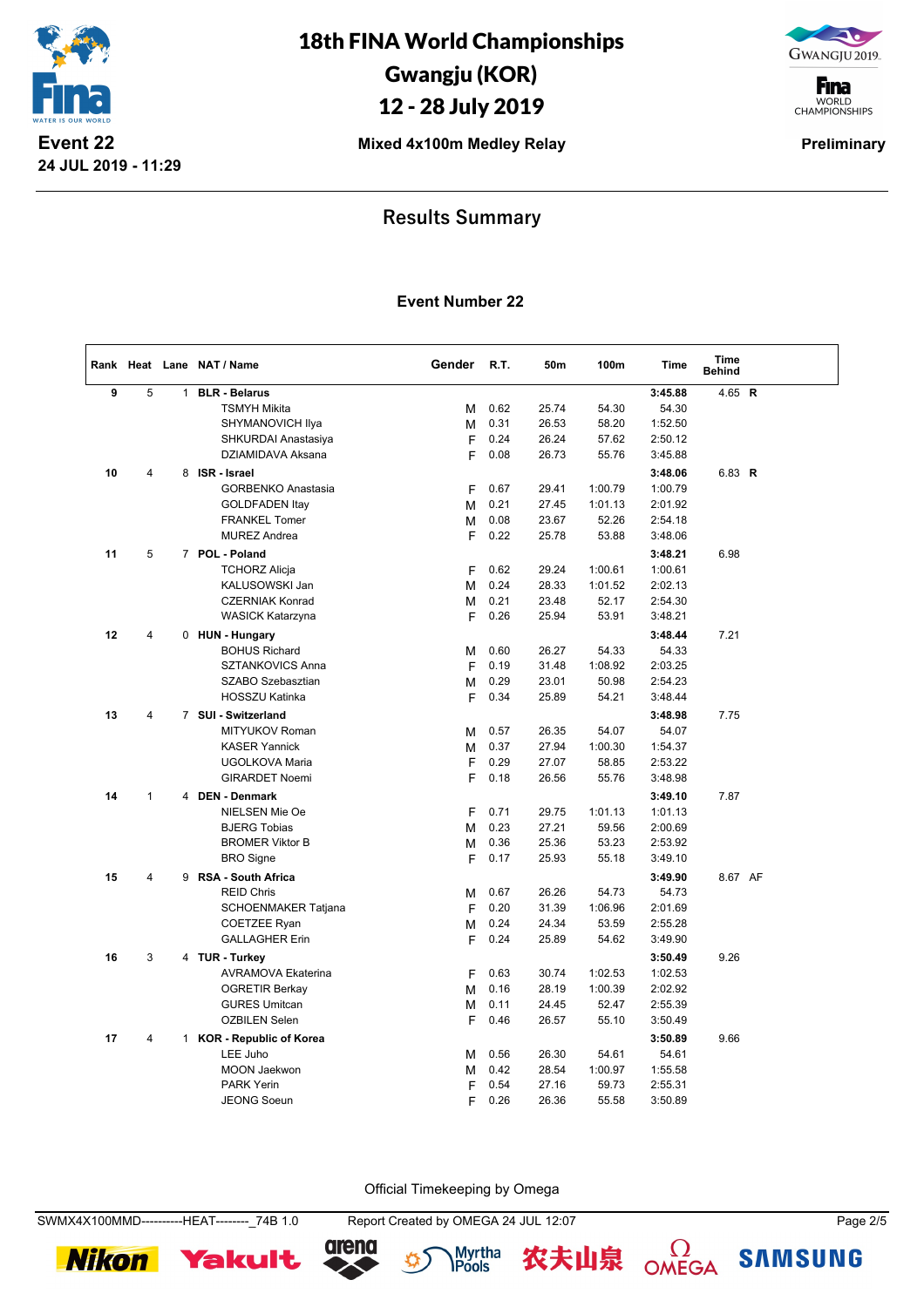

GWANGJU 2019.

**F**ina WORLD<br>CHAMPIONSHIPS

**Mixed 4x100m Medley Relay Preliminary** 

## **Results Summary**

#### **Event Number 22**

|    |                |              | Rank Heat Lane NAT / Name      | Gender | R.T. | 50m   | 100m    | <b>Time</b> | Time<br><b>Behind</b> |  |
|----|----------------|--------------|--------------------------------|--------|------|-------|---------|-------------|-----------------------|--|
| 9  | 5              | $\mathbf{1}$ | <b>BLR - Belarus</b>           |        |      |       |         | 3:45.88     | 4.65 R                |  |
|    |                |              | <b>TSMYH Mikita</b>            | м      | 0.62 | 25.74 | 54.30   | 54.30       |                       |  |
|    |                |              | SHYMANOVICH Ilya               | M      | 0.31 | 26.53 | 58.20   | 1:52.50     |                       |  |
|    |                |              | SHKURDAI Anastasiya            | F      | 0.24 | 26.24 | 57.62   | 2:50.12     |                       |  |
|    |                |              | DZIAMIDAVA Aksana              | F      | 0.08 | 26.73 | 55.76   | 3:45.88     |                       |  |
| 10 | 4              | 8            | <b>ISR</b> - Israel            |        |      |       |         | 3:48.06     | 6.83 R                |  |
|    |                |              | <b>GORBENKO Anastasia</b>      | F      | 0.67 | 29.41 | 1:00.79 | 1:00.79     |                       |  |
|    |                |              | <b>GOLDFADEN Itay</b>          | м      | 0.21 | 27.45 | 1:01.13 | 2:01.92     |                       |  |
|    |                |              | <b>FRANKEL Tomer</b>           | м      | 0.08 | 23.67 | 52.26   | 2:54.18     |                       |  |
|    |                |              | <b>MUREZ Andrea</b>            | F      | 0.22 | 25.78 | 53.88   | 3:48.06     |                       |  |
| 11 | 5              |              | 7 POL - Poland                 |        |      |       |         | 3:48.21     | 6.98                  |  |
|    |                |              | <b>TCHORZ Alicja</b>           | F      | 0.62 | 29.24 | 1:00.61 | 1:00.61     |                       |  |
|    |                |              | KALUSOWSKI Jan                 | м      | 0.24 | 28.33 | 1:01.52 | 2:02.13     |                       |  |
|    |                |              | <b>CZERNIAK Konrad</b>         | М      | 0.21 | 23.48 | 52.17   | 2:54.30     |                       |  |
|    |                |              | <b>WASICK Katarzyna</b>        | F      | 0.26 | 25.94 | 53.91   | 3:48.21     |                       |  |
| 12 | $\overline{4}$ |              | 0 HUN - Hungary                |        |      |       |         | 3:48.44     | 7.21                  |  |
|    |                |              | <b>BOHUS Richard</b>           | M      | 0.60 | 26.27 | 54.33   | 54.33       |                       |  |
|    |                |              | SZTANKOVICS Anna               | F      | 0.19 | 31.48 | 1:08.92 | 2:03.25     |                       |  |
|    |                |              | SZABO Szebasztian              | М      | 0.29 | 23.01 | 50.98   | 2:54.23     |                       |  |
|    |                |              | <b>HOSSZU Katinka</b>          | F      | 0.34 | 25.89 | 54.21   | 3:48.44     |                       |  |
| 13 | $\overline{4}$ |              | 7 SUI - Switzerland            |        |      |       |         | 3:48.98     | 7.75                  |  |
|    |                |              | MITYUKOV Roman                 | M      | 0.57 | 26.35 | 54.07   | 54.07       |                       |  |
|    |                |              | <b>KASER Yannick</b>           | M      | 0.37 | 27.94 | 1:00.30 | 1:54.37     |                       |  |
|    |                |              | <b>UGOLKOVA Maria</b>          | F      | 0.29 | 27.07 | 58.85   | 2:53.22     |                       |  |
|    |                |              | <b>GIRARDET Noemi</b>          | F      | 0.18 | 26.56 | 55.76   | 3:48.98     |                       |  |
| 14 | $\mathbf{1}$   |              | 4 DEN - Denmark                |        |      |       |         | 3:49.10     | 7.87                  |  |
|    |                |              | NIELSEN Mie Oe                 | F      | 0.71 | 29.75 | 1:01.13 | 1:01.13     |                       |  |
|    |                |              | <b>BJERG Tobias</b>            | м      | 0.23 | 27.21 | 59.56   | 2:00.69     |                       |  |
|    |                |              | <b>BROMER Viktor B</b>         | M      | 0.36 | 25.36 | 53.23   | 2:53.92     |                       |  |
|    |                |              | <b>BRO</b> Signe               | F      | 0.17 | 25.93 | 55.18   | 3:49.10     |                       |  |
| 15 | $\overline{4}$ | 9            | <b>RSA - South Africa</b>      |        |      |       |         | 3:49.90     | 8.67 AF               |  |
|    |                |              | <b>REID Chris</b>              | м      | 0.67 | 26.26 | 54.73   | 54.73       |                       |  |
|    |                |              | SCHOENMAKER Tatjana            | F      | 0.20 | 31.39 | 1:06.96 | 2:01.69     |                       |  |
|    |                |              | <b>COETZEE Ryan</b>            | М      | 0.24 | 24.34 | 53.59   | 2:55.28     |                       |  |
|    |                |              | <b>GALLAGHER Erin</b>          | F      | 0.24 | 25.89 | 54.62   | 3:49.90     |                       |  |
|    |                |              |                                |        |      |       |         |             |                       |  |
| 16 | 3              |              | 4 TUR - Turkey                 |        |      |       |         | 3:50.49     | 9.26                  |  |
|    |                |              | <b>AVRAMOVA Ekaterina</b>      | F      | 0.63 | 30.74 | 1:02.53 | 1:02.53     |                       |  |
|    |                |              | <b>OGRETIR Berkay</b>          | M      | 0.16 | 28.19 | 1:00.39 | 2:02.92     |                       |  |
|    |                |              | <b>GURES Umitcan</b>           | М      | 0.11 | 24.45 | 52.47   | 2:55.39     |                       |  |
|    |                |              | <b>OZBILEN Selen</b>           | F      | 0.46 | 26.57 | 55.10   | 3:50.49     |                       |  |
| 17 | $\overline{4}$ | $\mathbf{1}$ | <b>KOR - Republic of Korea</b> |        |      |       |         | 3:50.89     | 9.66                  |  |
|    |                |              | LEE Juho                       | M      | 0.56 | 26.30 | 54.61   | 54.61       |                       |  |
|    |                |              | <b>MOON Jaekwon</b>            | M      | 0.42 | 28.54 | 1:00.97 | 1:55.58     |                       |  |
|    |                |              | <b>PARK Yerin</b>              | F      | 0.54 | 27.16 | 59.73   | 2:55.31     |                       |  |
|    |                |              | <b>JEONG Soeun</b>             | F      | 0.26 | 26.36 | 55.58   | 3:50.89     |                       |  |

Official Timekeeping by Omega

**Nikon** 









**SAMSUNG**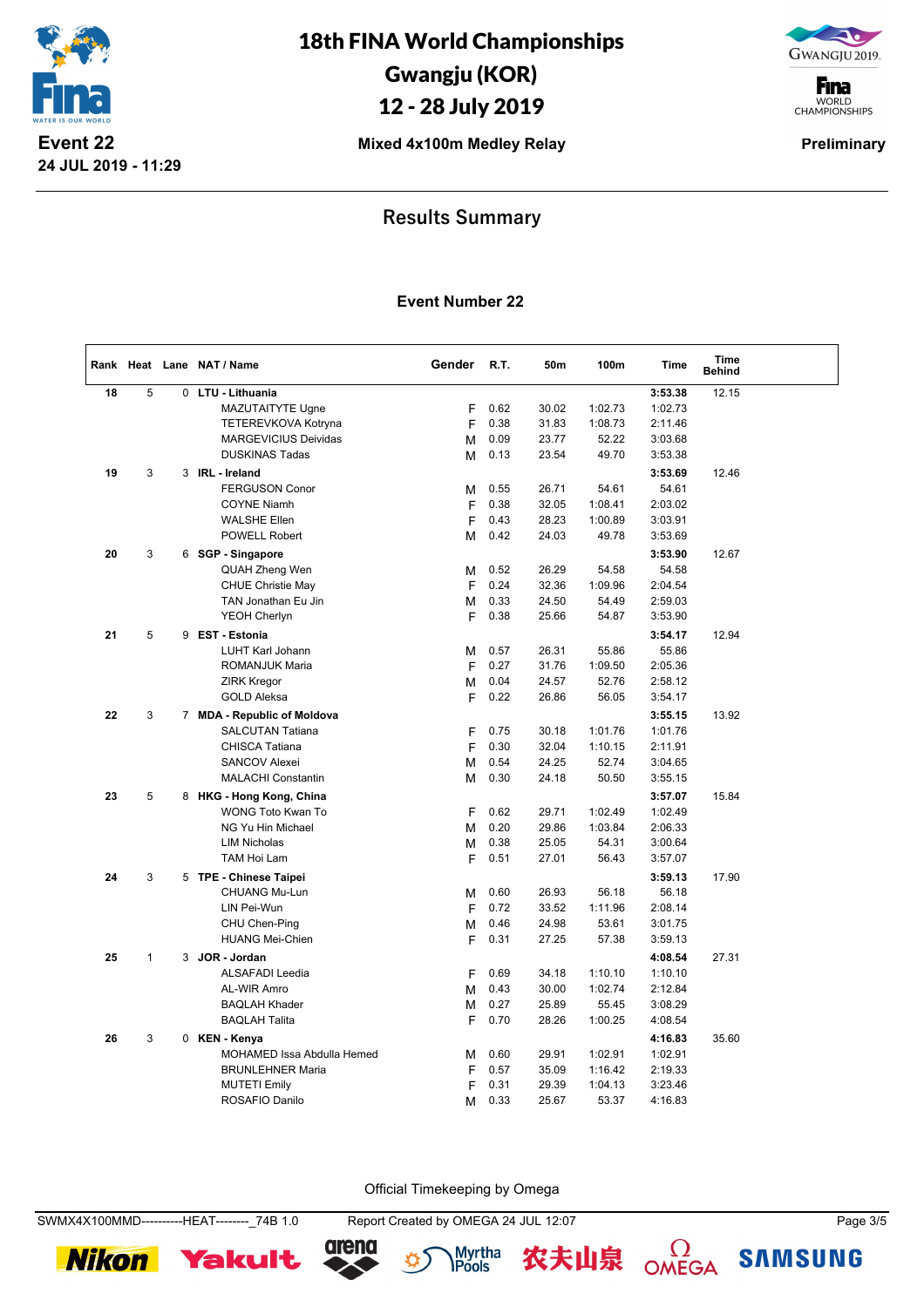

GWANGJU 2019.

**F**ina WORLD<br>CHAMPIONSHIPS

**Mixed 4x100m Medley Relay Preliminary** 

## **Results Summary**

#### **Event Number 22**

|    |              |   | Rank Heat Lane NAT / Name   | Gender | R.T. | 50m   | 100m    | <b>Time</b> | Time<br><b>Behind</b> |  |
|----|--------------|---|-----------------------------|--------|------|-------|---------|-------------|-----------------------|--|
| 18 | 5            | 0 | LTU - Lithuania             |        |      |       |         | 3:53.38     | 12.15                 |  |
|    |              |   | MAZUTAITYTE Ugne            | F      | 0.62 | 30.02 | 1:02.73 | 1:02.73     |                       |  |
|    |              |   | TETEREVKOVA Kotryna         | F      | 0.38 | 31.83 | 1:08.73 | 2:11.46     |                       |  |
|    |              |   | <b>MARGEVICIUS Deividas</b> | M      | 0.09 | 23.77 | 52.22   | 3:03.68     |                       |  |
|    |              |   | <b>DUSKINAS Tadas</b>       | M      | 0.13 | 23.54 | 49.70   | 3:53.38     |                       |  |
| 19 | 3            | 3 | <b>IRL</b> - Ireland        |        |      |       |         | 3:53.69     | 12.46                 |  |
|    |              |   | <b>FERGUSON Conor</b>       | M      | 0.55 | 26.71 | 54.61   | 54.61       |                       |  |
|    |              |   | <b>COYNE Niamh</b>          | F      | 0.38 | 32.05 | 1:08.41 | 2:03.02     |                       |  |
|    |              |   | <b>WALSHE Ellen</b>         | F      | 0.43 | 28.23 | 1:00.89 | 3:03.91     |                       |  |
|    |              |   | <b>POWELL Robert</b>        | М      | 0.42 | 24.03 | 49.78   | 3:53.69     |                       |  |
| 20 | 3            | 6 | <b>SGP - Singapore</b>      |        |      |       |         | 3:53.90     | 12.67                 |  |
|    |              |   | QUAH Zheng Wen              | М      | 0.52 | 26.29 | 54.58   | 54.58       |                       |  |
|    |              |   | CHUE Christie May           | F      | 0.24 | 32.36 | 1:09.96 | 2:04.54     |                       |  |
|    |              |   | TAN Jonathan Eu Jin         | M      | 0.33 | 24.50 | 54.49   | 2:59.03     |                       |  |
|    |              |   | <b>YEOH Cherlyn</b>         | F      | 0.38 | 25.66 | 54.87   | 3:53.90     |                       |  |
| 21 | 5            | 9 | <b>EST - Estonia</b>        |        |      |       |         | 3:54.17     | 12.94                 |  |
|    |              |   | <b>LUHT Karl Johann</b>     | M      | 0.57 | 26.31 | 55.86   | 55.86       |                       |  |
|    |              |   | <b>ROMANJUK Maria</b>       | F      | 0.27 | 31.76 | 1:09.50 | 2:05.36     |                       |  |
|    |              |   | <b>ZIRK Kregor</b>          | M      | 0.04 | 24.57 | 52.76   | 2:58.12     |                       |  |
|    |              |   | <b>GOLD Aleksa</b>          | F      | 0.22 | 26.86 | 56.05   | 3:54.17     |                       |  |
| 22 | 3            |   | 7 MDA - Republic of Moldova |        |      |       |         | 3:55.15     | 13.92                 |  |
|    |              |   | <b>SALCUTAN Tatiana</b>     | F      | 0.75 | 30.18 | 1:01.76 | 1:01.76     |                       |  |
|    |              |   | <b>CHISCA Tatiana</b>       | F      | 0.30 | 32.04 | 1:10.15 | 2:11.91     |                       |  |
|    |              |   | <b>SANCOV Alexei</b>        | M      | 0.54 | 24.25 | 52.74   | 3:04.65     |                       |  |
|    |              |   | <b>MALACHI Constantin</b>   | M      | 0.30 | 24.18 | 50.50   | 3:55.15     |                       |  |
| 23 | 5            |   | 8 HKG - Hong Kong, China    |        |      |       |         | 3:57.07     | 15.84                 |  |
|    |              |   | WONG Toto Kwan To           | F      | 0.62 | 29.71 | 1:02.49 | 1:02.49     |                       |  |
|    |              |   | NG Yu Hin Michael           | M      | 0.20 | 29.86 | 1:03.84 | 2:06.33     |                       |  |
|    |              |   | <b>LIM Nicholas</b>         |        | 0.38 | 25.05 | 54.31   | 3:00.64     |                       |  |
|    |              |   | TAM Hoi Lam                 | M<br>F | 0.51 | 27.01 | 56.43   | 3:57.07     |                       |  |
|    |              |   |                             |        |      |       |         |             |                       |  |
| 24 | 3            |   | 5 TPE - Chinese Taipei      |        |      |       |         | 3:59.13     | 17.90                 |  |
|    |              |   | CHUANG Mu-Lun               | M      | 0.60 | 26.93 | 56.18   | 56.18       |                       |  |
|    |              |   | LIN Pei-Wun                 | F      | 0.72 | 33.52 | 1:11.96 | 2:08.14     |                       |  |
|    |              |   | CHU Chen-Ping               | М      | 0.46 | 24.98 | 53.61   | 3:01.75     |                       |  |
|    |              |   | <b>HUANG Mei-Chien</b>      | F      | 0.31 | 27.25 | 57.38   | 3:59.13     |                       |  |
| 25 | $\mathbf{1}$ | 3 | JOR - Jordan                |        |      |       |         | 4:08.54     | 27.31                 |  |
|    |              |   | <b>ALSAFADI Leedia</b>      | F      | 0.69 | 34.18 | 1:10.10 | 1:10.10     |                       |  |
|    |              |   | AL-WIR Amro                 | M      | 0.43 | 30.00 | 1:02.74 | 2:12.84     |                       |  |
|    |              |   | <b>BAQLAH Khader</b>        | M      | 0.27 | 25.89 | 55.45   | 3:08.29     |                       |  |
|    |              |   | <b>BAQLAH Talita</b>        | F      | 0.70 | 28.26 | 1:00.25 | 4:08.54     |                       |  |
| 26 | 3            |   | 0 KEN - Kenya               |        |      |       |         | 4:16.83     | 35.60                 |  |
|    |              |   | MOHAMED Issa Abdulla Hemed  | M      | 0.60 | 29.91 | 1:02.91 | 1:02.91     |                       |  |
|    |              |   | <b>BRUNLEHNER Maria</b>     | F      | 0.57 | 35.09 | 1:16.42 | 2:19.33     |                       |  |
|    |              |   | <b>MUTETI Emily</b>         | F      | 0.31 | 29.39 | 1:04.13 | 3:23.46     |                       |  |
|    |              |   | ROSAFIO Danilo              | M      | 0.33 | 25.67 | 53.37   | 4:16.83     |                       |  |

Official Timekeeping by Omega

**Nikon** 











**SAMSUNG**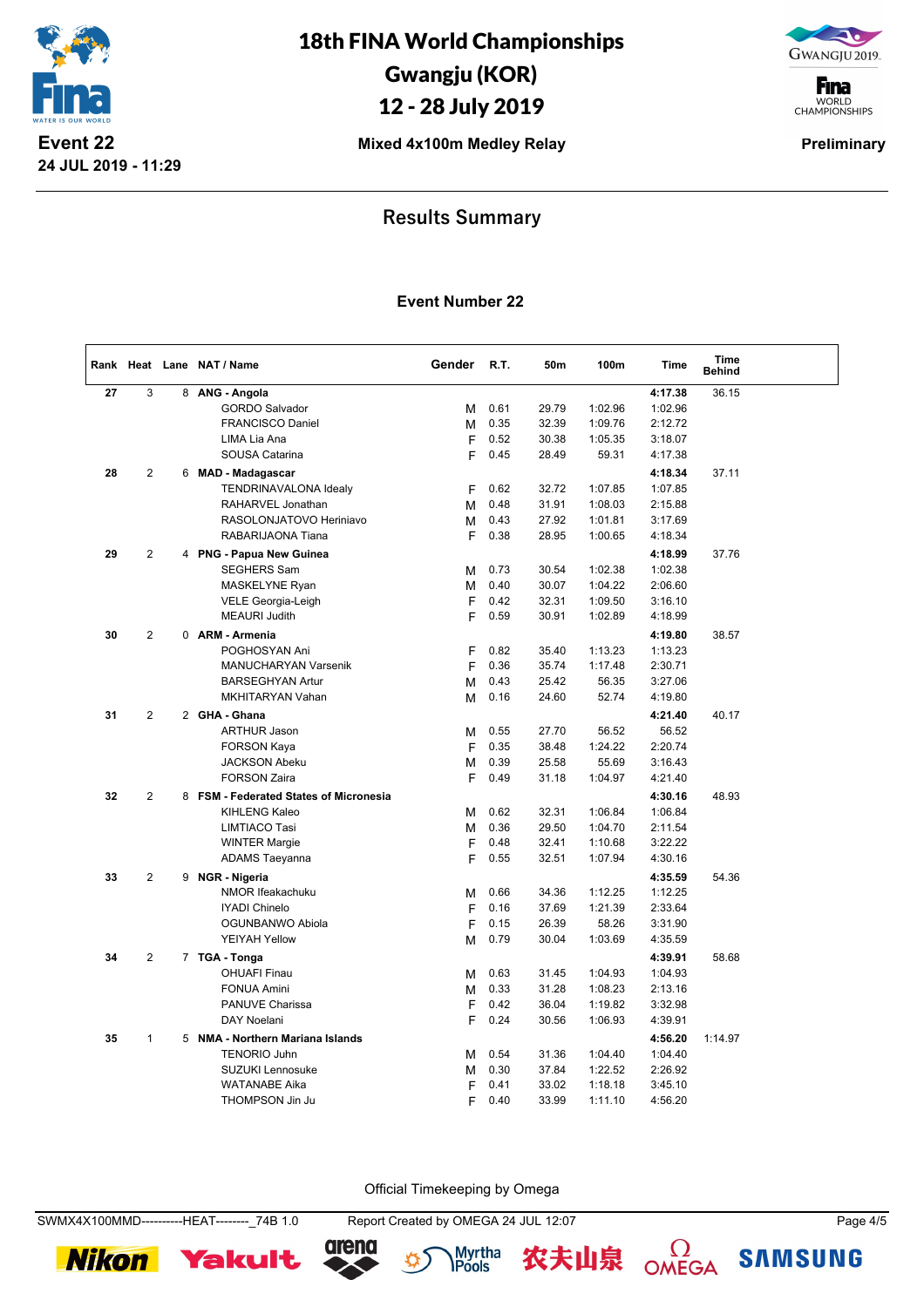

GWANGJU 2019.

**F**ina WORLD<br>CHAMPIONSHIPS

**Mixed 4x100m Medley Relay Preliminary** 

## **Results Summary**

#### **Event Number 22**

|    |                |   | Rank Heat Lane NAT / Name              | Gender | R.T.         | 50m            | 100m    | <b>Time</b>        | Time<br><b>Behind</b> |  |
|----|----------------|---|----------------------------------------|--------|--------------|----------------|---------|--------------------|-----------------------|--|
| 27 | 3              | 8 | ANG - Angola                           |        |              |                |         | 4:17.38            | 36.15                 |  |
|    |                |   | <b>GORDO Salvador</b>                  | М      | 0.61         | 29.79          | 1:02.96 | 1:02.96            |                       |  |
|    |                |   | <b>FRANCISCO Daniel</b>                | М      | 0.35         | 32.39          | 1:09.76 | 2:12.72            |                       |  |
|    |                |   | LIMA Lia Ana                           | F      | 0.52         | 30.38          | 1:05.35 | 3:18.07            |                       |  |
|    |                |   | SOUSA Catarina                         | F      | 0.45         | 28.49          | 59.31   | 4:17.38            |                       |  |
| 28 | 2              | 6 | <b>MAD - Madagascar</b>                |        |              |                |         | 4:18.34            | 37.11                 |  |
|    |                |   | TENDRINAVALONA Idealy                  | F      | 0.62         | 32.72          | 1:07.85 | 1:07.85            |                       |  |
|    |                |   | RAHARVEL Jonathan                      | м      | 0.48         | 31.91          | 1:08.03 | 2:15.88            |                       |  |
|    |                |   | RASOLONJATOVO Heriniavo                | М      | 0.43         | 27.92          | 1:01.81 | 3:17.69            |                       |  |
|    |                |   | RABARIJAONA Tiana                      | F      | 0.38         | 28.95          | 1:00.65 | 4:18.34            |                       |  |
| 29 | $\overline{2}$ |   | 4 PNG - Papua New Guinea               |        |              |                |         | 4:18.99            | 37.76                 |  |
|    |                |   | <b>SEGHERS Sam</b>                     | М      | 0.73         | 30.54          | 1:02.38 | 1:02.38            |                       |  |
|    |                |   | MASKELYNE Ryan                         | M      | 0.40         | 30.07          | 1:04.22 | 2:06.60            |                       |  |
|    |                |   | VELE Georgia-Leigh                     | F      | 0.42         | 32.31          | 1:09.50 | 3:16.10            |                       |  |
|    |                |   | <b>MEAURI Judith</b>                   | F      | 0.59         | 30.91          | 1:02.89 | 4:18.99            |                       |  |
| 30 | 2              |   | 0 ARM - Armenia                        |        |              |                |         | 4:19.80            | 38.57                 |  |
|    |                |   | POGHOSYAN Ani                          | F      | 0.82         | 35.40          | 1:13.23 | 1:13.23            |                       |  |
|    |                |   | <b>MANUCHARYAN Varsenik</b>            | F      | 0.36         | 35.74          | 1:17.48 | 2:30.71            |                       |  |
|    |                |   | <b>BARSEGHYAN Artur</b>                | M      | 0.43         | 25.42          | 56.35   | 3:27.06            |                       |  |
|    |                |   | MKHITARYAN Vahan                       | м      | 0.16         | 24.60          | 52.74   | 4:19.80            |                       |  |
| 31 | $\mathbf{2}$   |   | 2 GHA - Ghana                          |        |              |                |         | 4:21.40            | 40.17                 |  |
|    |                |   | <b>ARTHUR Jason</b>                    | м      | 0.55         | 27.70          | 56.52   | 56.52              |                       |  |
|    |                |   | <b>FORSON Kaya</b>                     | F      | 0.35         | 38.48          | 1:24.22 | 2:20.74            |                       |  |
|    |                |   | <b>JACKSON Abeku</b>                   | М      | 0.39         | 25.58          | 55.69   | 3:16.43            |                       |  |
|    |                |   | <b>FORSON Zaira</b>                    | F      | 0.49         | 31.18          | 1:04.97 | 4:21.40            |                       |  |
| 32 | $\overline{2}$ |   | 8 FSM - Federated States of Micronesia |        |              |                |         | 4:30.16            | 48.93                 |  |
|    |                |   | <b>KIHLENG Kaleo</b>                   | М      | 0.62         | 32.31          | 1:06.84 | 1:06.84            |                       |  |
|    |                |   | <b>LIMTIACO Tasi</b>                   | M      | 0.36         | 29.50          | 1:04.70 | 2:11.54            |                       |  |
|    |                |   | <b>WINTER Margie</b>                   | F      | 0.48         | 32.41          | 1:10.68 | 3:22.22            |                       |  |
|    |                |   | <b>ADAMS Taeyanna</b>                  | F      | 0.55         | 32.51          | 1:07.94 | 4:30.16            |                       |  |
|    | 2              |   |                                        |        |              |                |         |                    |                       |  |
| 33 |                | 9 | <b>NGR</b> - Nigeria                   |        |              |                | 1:12.25 | 4:35.59            | 54.36                 |  |
|    |                |   | NMOR Ifeakachuku<br>IYADI Chinelo      | М<br>F | 0.66<br>0.16 | 34.36<br>37.69 | 1:21.39 | 1:12.25<br>2:33.64 |                       |  |
|    |                |   | OGUNBANWO Abiola                       | F      | 0.15         | 26.39          | 58.26   | 3:31.90            |                       |  |
|    |                |   | <b>YEIYAH Yellow</b>                   | М      | 0.79         | 30.04          | 1:03.69 | 4:35.59            |                       |  |
|    |                |   |                                        |        |              |                |         |                    |                       |  |
| 34 | $\overline{2}$ |   | 7 TGA - Tonga                          |        |              |                |         | 4:39.91            | 58.68                 |  |
|    |                |   | <b>OHUAFI Finau</b>                    | М      | 0.63         | 31.45          | 1:04.93 | 1:04.93            |                       |  |
|    |                |   | <b>FONUA Amini</b>                     | М      | 0.33         | 31.28          | 1:08.23 | 2:13.16            |                       |  |
|    |                |   | PANUVE Charissa                        | F      | 0.42         | 36.04          | 1:19.82 | 3:32.98            |                       |  |
|    |                |   | DAY Noelani                            | F      | 0.24         | 30.56          | 1:06.93 | 4:39.91            |                       |  |
| 35 | $\mathbf{1}$   | 5 | NMA - Northern Mariana Islands         |        |              |                |         | 4:56.20            | 1:14.97               |  |
|    |                |   | <b>TENORIO Juhn</b>                    | м      | 0.54         | 31.36          | 1:04.40 | 1:04.40            |                       |  |
|    |                |   | <b>SUZUKI Lennosuke</b>                | M      | 0.30         | 37.84          | 1:22.52 | 2:26.92            |                       |  |
|    |                |   | <b>WATANABE Aika</b>                   | F      | 0.41         | 33.02          | 1:18.18 | 3:45.10            |                       |  |
|    |                |   | <b>THOMPSON Jin Ju</b>                 | F      | 0.40         | 33.99          | 1:11.10 | 4:56.20            |                       |  |

Official Timekeeping by Omega

SWMX4X100MMD----------HEAT--------\_74B 1.0 Report Created by OMEGA 24 JUL 12:07 Page 4/5







农夫山泉

 $\Omega$ OMEGA